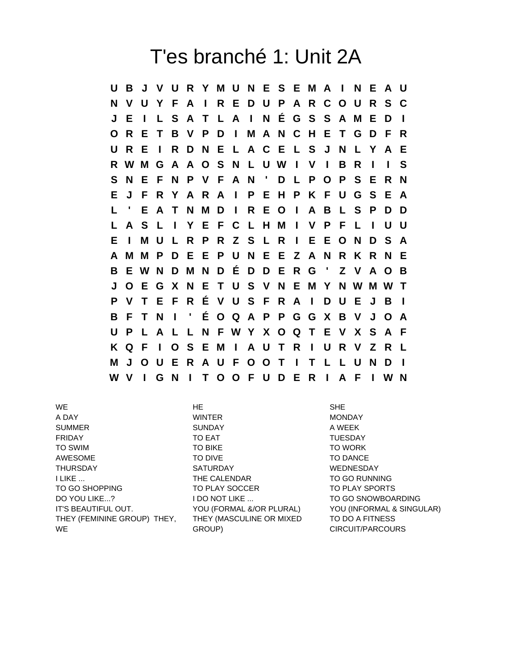## T'es branché 1: Unit 2A

**U B J V U R Y M U N E S E M A I N E A U N V U Y F A I R E D U P A R C O U R S C J E I L S A T L A I N É G S S A M E D I O R E T B V P D I M A N C H E T G D F R U R E I R D N E L A C E L S J N L Y A E R W M G A A O S N L U W I V I B R I I S S N E F N P V F A N ' D L P O P S E R N E J F R Y A R A I P E H P K F U G S E A L ' E A T N M D I R E O I A B L S P D D L A S L I Y E F C L H M I V P F L I U U E I M U L R P R Z S L R I E E O N D S A A M M P D E E P U N E E Z A N R K R N E B E W N D M N D É D D E R G ' Z V A O B J O E G X N E T U S V N E M Y N W M W T P V T E F R É V U S F R A I D U E J B I B F T N I ' É O Q A P P G G X B V J O A U P L A L L N F W Y X O Q T E V X S A F K Q F I O S E M I A U T R I U R V Z R L M J O U E R A U F O O T I T L L U N D I W V I G N I T O O F U D E R I A F I W N**

WE HE SHE A DAY NONDAY MINTER THE MONDAY SUMMER SUNDAY A WEEK FRIDAY **TO EAT** TO EAT TUESDAY TO SWIM TO BIKE TO WORK AWESOME TO DIVE TO DIVE TO DANCE THURSDAY SATURDAY WEDNESDAY I LIKE ... THE CALENDAR TO GO RUNNING TO GO SHOPPING TO PLAY SOCCER TO PLAY SPORTS DO YOU LIKE...? I DO NOT LIKE ... TO GO SNOWBOARDING THEY (FEMININE GROUP) THEY, **WE** 

THEY (MASCULINE OR MIXED GROUP)

IT'S BEAUTIFUL OUT. YOU (FORMAL &/OR PLURAL) YOU (INFORMAL & SINGULAR) TO DO A FITNESS CIRCUIT/PARCOURS